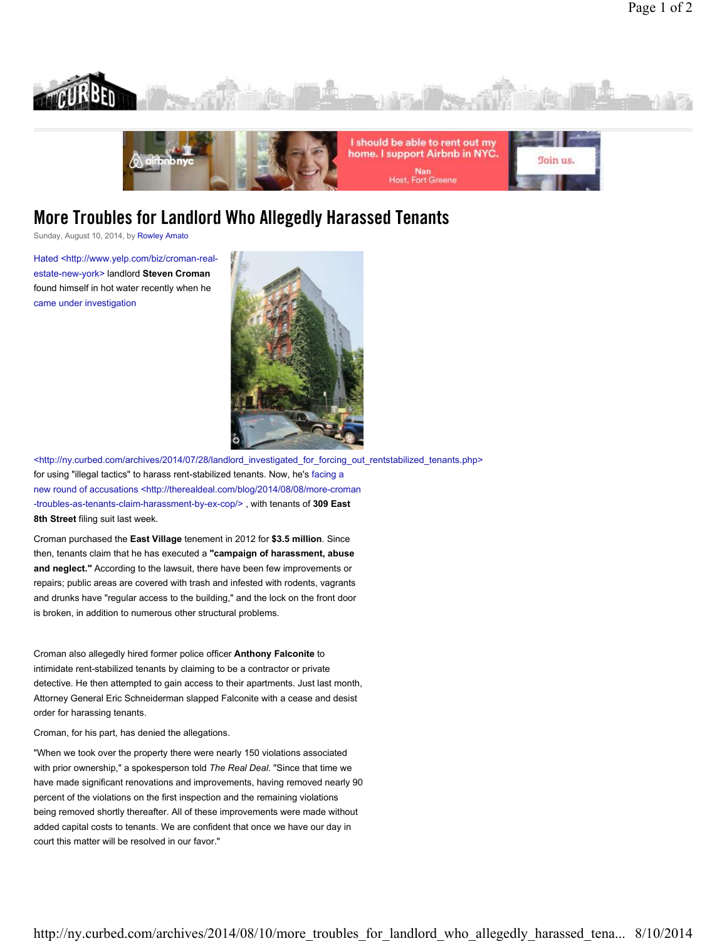

## **More Troubles for Landlord Who Allegedly Harassed Tenants**

Sunday, August 10, 2014, by Rowley Amato

Hated <http://www.yelp.com/biz/croman-realestate-new-york> landlord **Steven Croman** found himself in hot water recently when he came under investigation



<http://ny.curbed.com/archives/2014/07/28/landlord\_investigated\_for\_forcing\_out\_rentstabilized\_tenants.php> for using "illegal tactics" to harass rent-stabilized tenants. Now, he's facing a new round of accusations <http://therealdeal.com/blog/2014/08/08/more-croman -troubles-as-tenants-claim-harassment-by-ex-cop/> , with tenants of **309 East 8th Street** filing suit last week.

Croman purchased the **East Village** tenement in 2012 for **\$3.5 million**. Since then, tenants claim that he has executed a **"campaign of harassment, abuse and neglect."** According to the lawsuit, there have been few improvements or repairs; public areas are covered with trash and infested with rodents, vagrants and drunks have "regular access to the building," and the lock on the front door is broken, in addition to numerous other structural problems.

Croman also allegedly hired former police officer **Anthony Falconite** to intimidate rent-stabilized tenants by claiming to be a contractor or private detective. He then attempted to gain access to their apartments. Just last month, Attorney General Eric Schneiderman slapped Falconite with a cease and desist order for harassing tenants.

Croman, for his part, has denied the allegations.

"When we took over the property there were nearly 150 violations associated with prior ownership," a spokesperson told *The Real Deal*. "Since that time we have made significant renovations and improvements, having removed nearly 90 percent of the violations on the first inspection and the remaining violations being removed shortly thereafter. All of these improvements were made without added capital costs to tenants. We are confident that once we have our day in court this matter will be resolved in our favor."